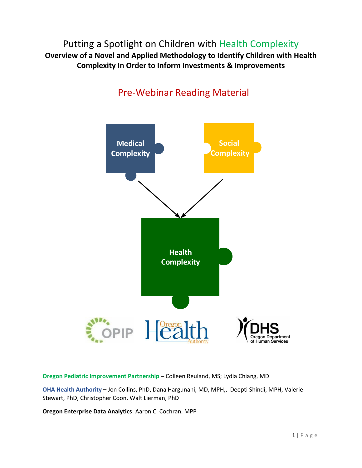Putting a Spotlight on Children with Health Complexity **Overview of a Novel and Applied Methodology to Identify Children with Health Complexity In Order to Inform Investments & Improvements**



# Pre-Webinar Reading Material

**Oregon Pediatric Improvement Partnership –** Colleen Reuland, MS; Lydia Chiang, MD

**OHA Health Authority –** Jon Collins, PhD, Dana Hargunani, MD, MPH,, Deepti Shindi, MPH, Valerie Stewart, PhD, Christopher Coon, Walt Lierman, PhD

**Oregon Enterprise Data Analytics**: Aaron C. Cochran, MPP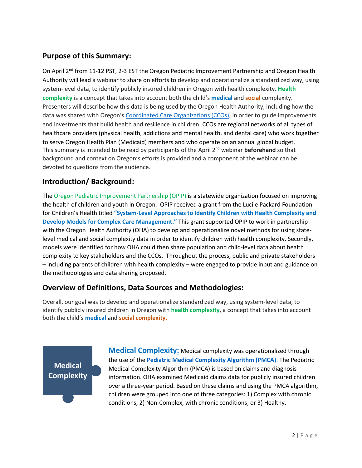## **Purpose of this Summary:**

On April 2<sup>nd</sup> from 11-12 PST, 2-3 EST the Oregon Pediatric Improvement Partnership and Oregon Health Authority will lead a webinar to share on efforts to develop and operationalize a standardized way, using system-level data, to identify publicly insured children in Oregon with health complexity. **Health complexity** is a concept that takes into account both the child's **medical** and **social** complexity. Presenters will describe how this data is being used by the Oregon Health Authority, including how the data was shared with Oregon's [Coordinated Care Organizations \(CCOs\),](https://www.oregon.gov/oha/hsd/ohp/pages/coordinated-care-organizations.aspx) in order to guide improvements and investments that build health and resilience in children. CCOs are regional networks of all types of healthcare providers (physical health, addictions and mental health, and dental care) who work together to serve Oregon Health Plan (Medicaid) members and who operate on an annual global budget. This summary is intended to be read by participants of the April 2<sup>nd</sup> webinar **beforehand** so that background and context on Oregon's efforts is provided and a component of the webinar can be devoted to questions from the audience.

## **Introduction/ Background:**

The [Oregon Pediatric Improvement Partnership \(OPIP\)](http://www.oregon-pip.org/) is a statewide organization focused on improving the health of children and youth in Oregon. OPIP received a grant from the Lucile Packard Foundation for Children's Health titled **"System-Level Approaches to Identify Children with Health Complexity and Develop Models for Complex Care Management."** This grant supported OPIP to work in partnership with the Oregon Health Authority (OHA) to develop and operationalize novel methods for using statelevel medical and social complexity data in order to identify children with health complexity. Secondly, models were identified for how OHA could then share population and child-level data about health complexity to key stakeholders and the CCOs. Throughout the process, public and private stakeholders – including parents of children with health complexity – were engaged to provide input and guidance on the methodologies and data sharing proposed.

## **Overview of Definitions, Data Sources and Methodologies:**

Overall, our goal was to develop and operationalize standardized way, using system-level data, to identify publicly insured children in Oregon with **health complexity**, a concept that takes into account both the child's **medical** and **social complexity.**

**Medical Complexity** **Medical Complexity:** Medical complexity was operationalized through the use of the **[Pediatric Medical Complexity Algorithm \(PMCA\)](https://www.seattlechildrens.org/research/centers-programs/child-health-behavior-and-development/labs/mangione-smith-lab/measurement-tools/)**. The Pediatric and the two or the **<u>Fourth Houston Completing High Hillship (1982)</u>** (1983) Medical Complexity Algorithm (PMCA) is based on claims and diagnosis information. OHA examined Medicaid claims data for publicly insured children **Complexity** over a three-year period. Based on these claims and using the PMCA algorithm, children were grouped into one of three categories: 1) Complex with chronic conditions; 2) Non-Complex, with chronic conditions; or 3) Healthy.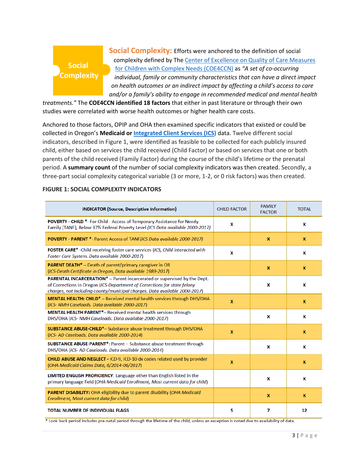# **Social Complexity**

**Social Complexity:** Efforts were anchored to the definition of social complexity defined by The [Center of Excellence on Quality of Care Measures](http://pediatrics.aappublications.org/content/138/3/e20153787)  [for Children with Complex Needs \(COE4CCN\)](http://pediatrics.aappublications.org/content/138/3/e20153787) as *"A set of co-occurring individual, family or community characteristics that can have a direct impact on health outcomes or an indirect impact by affecting a child's access to care and/or a family's ability to engage in recommended medical and mental health* 

*treatments."* The **COE4CCN identified 18 factors** that either in past literature or through their own studies were correlated with worse health outcomes or higher health care costs.

Anchored to those factors, OPIP and OHA then examined specific indicators that existed or could be collected in Oregon's **Medicaid or [Integrated Client Services \(ICS\)](https://www.oregon.gov/DHS/BUSINESS-SERVICES/OFRA/Pages/ICS.aspx)** data. Twelve different social indicators, described in Figure 1, were identified as feasible to be collected for each publicly insured child, either based on services the child received (Child Factor) or based on services that one or both parents of the child received (Family Factor) during the course of the child's lifetime or the prenatal period. A **summary count** of the number of social complexity indicators was then created. Secondly, a three-part social complexity categorical variable (3 or more, 1-2, or 0 risk factors) was then created. **Health**

| <b>INDICATOR (Source, Descriptive Information)</b>                                                                                                                                                                                        | <b>CHILD FACTOR</b> | <b>FAMILY</b><br><b>FACTOR</b> | <b>TOTAL</b> |
|-------------------------------------------------------------------------------------------------------------------------------------------------------------------------------------------------------------------------------------------|---------------------|--------------------------------|--------------|
| <b>POVERTY - CHILD *- For Child - Access of Temporary Assistance for Needy</b><br>Family [TANF}, Below 37% Federal Poverty Level (ICS Data available 2000-2017)                                                                           | X                   |                                | x            |
| <b>POVERTY - PARENT *- Parent Access of TANF(ICS Data available 2000-2017)</b>                                                                                                                                                            |                     | X                              | X            |
| FOSTER CARE* - Child receiving foster care services (ICS, Child interacted with<br>Foster Care System. Data available 2000-2017)                                                                                                          | X                   |                                | x            |
| <b>PARENT DEATH*</b> - Death of parent/primary caregiver in OR<br>(ICS-Death Certificate in Oregon, Data available 1989-2017)                                                                                                             |                     | X                              | x            |
| <b>PARENTAL INCARCERATION*</b> – Parent incarcerated or supervised by the Dept.<br>of Corrections in Oregon (ICS-Department of Corrections for state felony<br>charges, not including county/municipal charges. Data available 2000-2017) |                     | X                              | x            |
| <b>MENTAL HEALTH: CHILD*</b> - Received mental health services through DHS/OHA<br>(ICS- NMH Caseloads. Data available 2000-2017)                                                                                                          | $\mathbf{x}$        |                                | X            |
| <b>MENTAL HEALTH PARENT<sup>*</sup>- Received mental health services through</b><br>DHS/OHA (ICS- NMH Caseloads. Data available 2000-2017)                                                                                                |                     | X                              | x            |
| <b>SUBSTANCE ABUSE-CHILD*-</b> Substance abuse treatment through DHS/OHA<br>(ICS-AD Caseloads. Data available 2000-2014)                                                                                                                  | $\mathbf{x}$        |                                | X            |
| <b>SUBSTANCE ABUSE-PARENT*:</b> Parent - Substance abuse treatment through<br>DHS/OHA (ICS-AD Caseloads. Data available 2000-2014)                                                                                                        |                     | X                              | x            |
| <b>CHILD ABUSE AND NEGLECT - ICD-9, ICD-10 dx codes related used by provider</b><br>(OHA Medicaid Claims Data, 6/2014-06/2017)                                                                                                            | $\mathbf{x}$        |                                | x            |
| LIMITED ENGLISH PROFICIENCY: Language other than English listed in the<br>primary language field (OHA Medicaid Enrollment, Most current data for child)                                                                                   |                     | x                              | x            |
| <b>PARENT DISABILITY:</b> OHA eligibility due to parent disability (OHA Medicaid<br>Enrollment, Most current data for child)                                                                                                              |                     | X                              | x            |
| <b>TOTAL NUMBER OF INDIVIDUAL FLAGS</b>                                                                                                                                                                                                   | 5                   | 7                              | 12           |

#### **FIGURE 1: SOCIAL COMPLEXITY INDICATORS Complexity**

\* Look back period includes pre-natal period through the lifetime of the child, unless an exception is noted due to availability of data.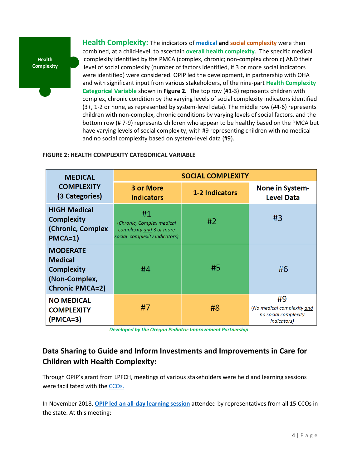**Health Complexity** **Health Complexity:** The indicators of **medical and social complexity** were then combined, at a child-level, to ascertain **overall health complexity**.The specific medical complexity identified by the PMCA (complex, chronic; non-complex chronic) AND their level of social complexity (number of factors identified, if 3 or more social indicators were identified) were considered. OPIP led the development, in partnership with OHA and with significant input from various stakeholders, of the nine-part **Health Complexity Categorical Variable** shown in **Figure 2.** The top row (#1-3) represents children with complex, chronic condition by the varying levels of social complexity indicators identified (3+, 1-2 or none, as represented by system-level data). The middle row (#4-6) represents children with non-complex, chronic conditions by varying levels of social factors, and the bottom row (# 7-9) represents children who appear to be healthy based on the PMCA but have varying levels of social complexity, with #9 representing children with no medical and no social complexity based on system-level data (#9).

## **FIGURE 2: HEALTH COMPLEXITY CATEGORICAL VARIABLE**

| <b>MEDICAL</b>                                                                                    | <b>SOCIAL COMPLEXITY</b>                                                                     |    |                                                                                 |  |
|---------------------------------------------------------------------------------------------------|----------------------------------------------------------------------------------------------|----|---------------------------------------------------------------------------------|--|
| <b>COMPLEXITY</b><br>(3 Categories)                                                               | 3 or More<br>1-2 Indicators<br><b>Indicators</b>                                             |    | None in System-<br><b>Level Data</b>                                            |  |
| <b>HIGH Medical</b><br><b>Complexity</b><br>(Chronic, Complex<br>$PMCA=1$                         | #1<br>(Chronic, Complex medical<br>complexity and 3 or more<br>social complexity indicators) | #2 | #3                                                                              |  |
| <b>MODERATE</b><br><b>Medical</b><br><b>Complexity</b><br>(Non-Complex,<br><b>Chronic PMCA=2)</b> | #4                                                                                           | #5 | #6                                                                              |  |
| <b>NO MEDICAL</b><br><b>COMPLEXITY</b><br>$(PMCA=3)$                                              | #7                                                                                           | #8 | #9<br>(No medical complexity and<br>no social complexity<br><i>indicators</i> ) |  |

Developed by the Oregon Pediatric Improvement Partnership

# **Data Sharing to Guide and Inform Investments and Improvements in Care for Children with Health Complexity:**

Through OPIP's grant from LPFCH, meetings of various stakeholders were held and learning sessions were facilitated with the [CCOs.](https://www.oregon.gov/oha/hsd/ohp/pages/coordinated-care-organizations.aspx)

In November 2018, **[OPIP led an all-day learning session](http://www.oregon-pip.org/projects/Packard.html)** attended by representatives from all 15 CCOs in the state. At this meeting: